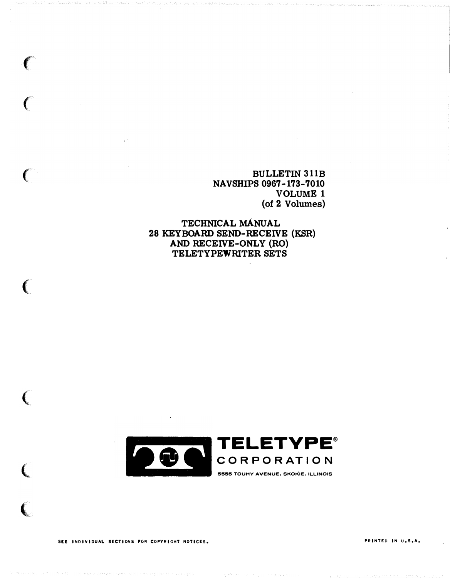**BULLETIN 311B NAVSHIPS 0967-173-7010 VOLUME 1** (of 2 Volumes)

TECHNICAL MANUAL 28 KEYBOARD SEND-RECEIVE (KSR) AND RECEIVE-ONLY (RO) TELETYPEWRITER SETS



SEE INDIVIDUAL SECTIONS FOR COPYRIGHT NOTICES.

C

PRINTED IN U.S.A.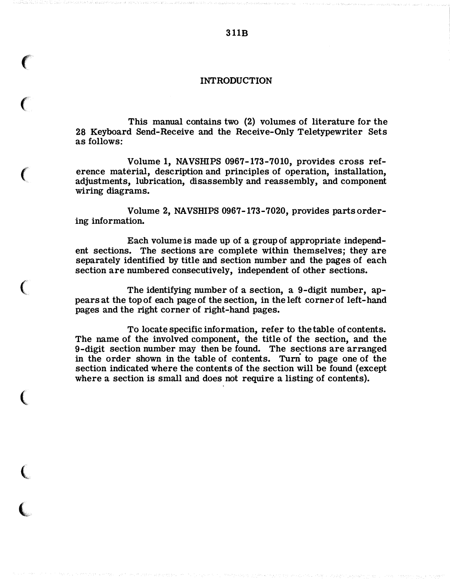#### **INTRODUCTION**

This manual contains two (2) volumes of literature for the 28 Keyboard Send-Receive and the Receive-Only Teletypewriter Sets as follows:

 $\big($ 

 $\big($ 

 $\big($ 

(

 $\big($ 

 $\overline{\mathbf{C}}$ 

Volume 1, NAVSHIPS 0967-173-7010, provides cross reference material, description and principles of operation, installation, adjustments, lubrication, disassembly and reassembly, and component wiring diagrams.

Volume 2, NAVSHIPS 0967-173-7020, provides parts ordering information.

Each volume is made up of a group of appropriate independent sections. The sections are complete within themselves; they are separately identified by title and section number and the pages of each section are numbered consecutively, independent of other sections.

The identifying number of a section, a 9-digit number, appears at the top of each page of the section, in the left corner of left-hand pages and the right corner of right-hand pages.

To locate specific information, refer to the table of contents. The name of the involved component, the title of the section, and the 9-digit section number may then be found. The sections are arranged in the order shown in the table of contents. Turn to page one of the section indicated where the contents of the section will be found (except where a section is small and does not require a listing of contents).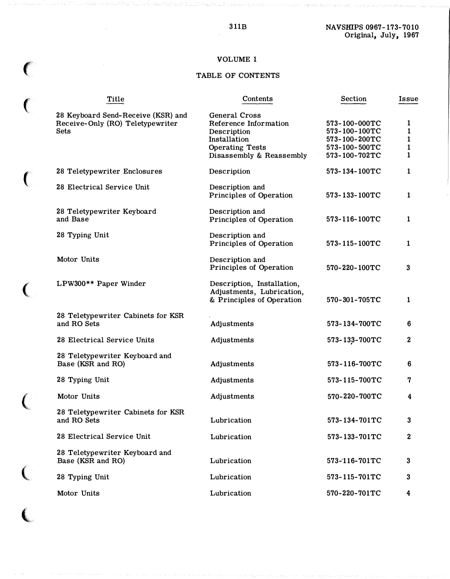#### 3 11B NAVSHIPS 0967-173-7010 Original, July, 1967

# VOLUME 1

 $\big($ 

 $\epsilon$ 

 $\overline{(\ }$ 

 $\begin{array}{c} \mathbf{C} \\ \mathbf{C} \end{array}$ 

# TABLE OF CONTENTS

|  | Title                                                                                 | Contents                                                                                                                    | Section                                                                           | Issue                                                  |
|--|---------------------------------------------------------------------------------------|-----------------------------------------------------------------------------------------------------------------------------|-----------------------------------------------------------------------------------|--------------------------------------------------------|
|  | 28 Keyboard Send-Receive (KSR) and<br>Receive-Only (RO) Teletypewriter<br><b>Sets</b> | General Cross<br>Reference Information<br>Description<br>Installation<br><b>Operating Tests</b><br>Disassembly & Reassembly | 573-100-000TC<br>573-100-100TC<br>573-100-200TC<br>573-100-500TC<br>573-100-702TC | 1<br>$\mathbf{1}$<br>$\mathbf{1}$<br>$\mathbf{1}$<br>1 |
|  | 28 Teletypewriter Enclosures                                                          | Description                                                                                                                 | 573-134-100TC                                                                     | 1                                                      |
|  | 28 Electrical Service Unit                                                            | Description and<br>Principles of Operation                                                                                  | 573-133-100TC                                                                     | 1                                                      |
|  | 28 Teletypewriter Keyboard<br>and Base                                                | Description and<br>Principles of Operation                                                                                  | 573-116-100TC                                                                     | 1                                                      |
|  | 28 Typing Unit                                                                        | Description and<br>Principles of Operation                                                                                  | 573-115-100TC                                                                     | 1                                                      |
|  | Motor Units                                                                           | Description and<br>Principles of Operation                                                                                  | 570-220-100TC                                                                     | 3                                                      |
|  | LPW300** Paper Winder                                                                 | Description, Installation,<br>Adjustments, Lubrication,<br>& Principles of Operation                                        | $570 - 301 - 705$ TC                                                              | 1                                                      |
|  | 28 Teletypewriter Cabinets for KSR<br>and RO Sets                                     | Adjustments                                                                                                                 | 573-134-700TC                                                                     | 6                                                      |
|  | 28 Electrical Service Units                                                           | Adjustments                                                                                                                 | 573-133-700TC                                                                     | $\bf{2}$                                               |
|  | 28 Teletypewriter Keyboard and<br>Base (KSR and RO)                                   | Adjustments                                                                                                                 | 573-116-700TC                                                                     | 6                                                      |
|  | 28 Typing Unit                                                                        | Adjustments                                                                                                                 | 573-115-700TC                                                                     | 7                                                      |
|  | Motor Units                                                                           | Adjustments                                                                                                                 | 570-220-700TC                                                                     | 4                                                      |
|  | 28 Teletypewriter Cabinets for KSR<br>and RO Sets                                     | Lubrication                                                                                                                 | 573-134-701TC                                                                     | 3                                                      |
|  | 28 Electrical Service Unit                                                            | Lubrication                                                                                                                 | 573-133-701TC                                                                     | 2                                                      |
|  | 28 Teletypewriter Keyboard and<br>Base (KSR and RO)                                   | Lubrication                                                                                                                 | 573-116-701TC                                                                     | 3                                                      |
|  | 28 Typing Unit                                                                        | Lubrication                                                                                                                 | 573-115-701TC                                                                     | 3                                                      |
|  | Motor Units                                                                           | Lubrication                                                                                                                 | 570-220-701TC                                                                     | 4                                                      |